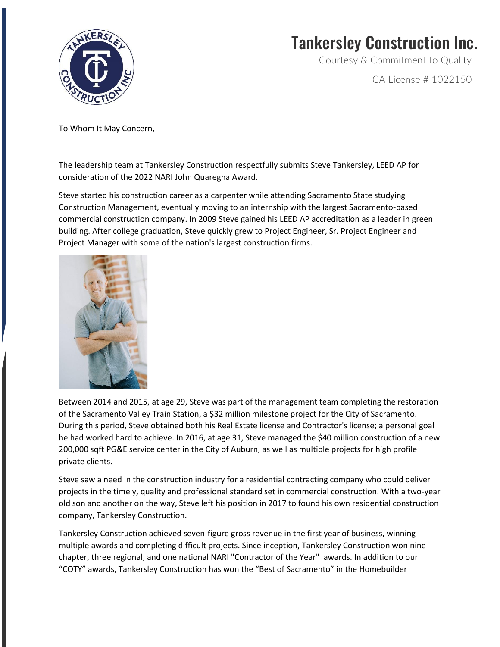

## Tankersley Construction Inc.

Courtesy & Commitment to Quality

CA License # 1022150

To Whom It May Concern,

The leadership team at Tankersley Construction respectfully submits Steve Tankersley, LEED AP for consideration of the 2022 NARI John Quaregna Award.

Steve started his construction career as a carpenter while attending Sacramento State studying Construction Management, eventually moving to an internship with the largest Sacramento-based commercial construction company. In 2009 Steve gained his LEED AP accreditation as a leader in green building. After college graduation, Steve quickly grew to Project Engineer, Sr. Project Engineer and Project Manager with some of the nation's largest construction firms.



Between 2014 and 2015, at age 29, Steve was part of the management team completing the restoration of the Sacramento Valley Train Station, a \$32 million milestone project for the City of Sacramento. During this period, Steve obtained both his Real Estate license and Contractor's license; a personal goal he had worked hard to achieve. In 2016, at age 31, Steve managed the \$40 million construction of a new 200,000 sqft PG&E service center in the City of Auburn, as well as multiple projects for high profile private clients.

Steve saw a need in the construction industry for a residential contracting company who could deliver projects in the timely, quality and professional standard set in commercial construction. With a two-year old son and another on the way, Steve left his position in 2017 to found his own residential construction company, Tankersley Construction.

Tankersley Construction achieved seven-figure gross revenue in the first year of business, winning multiple awards and completing difficult projects. Since inception, Tankersley Construction won nine chapter, three regional, and one national NARI "Contractor of the Year" awards. In addition to our "COTY" awards, Tankersley Construction has won the "Best of Sacramento" in the Homebuilder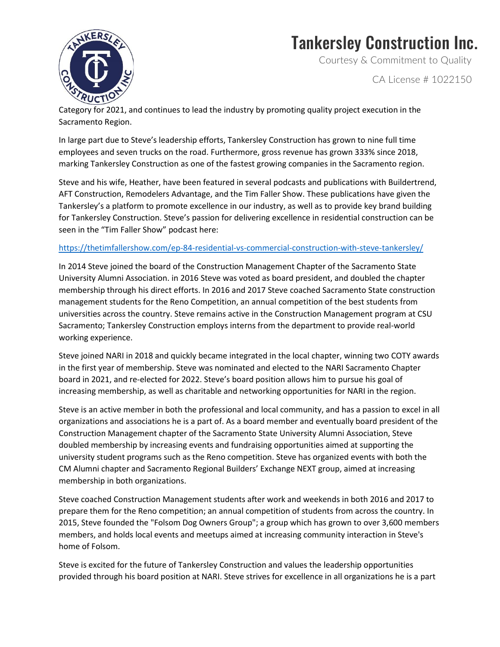

## Tankersley Construction Inc.

Courtesy & Commitment to Quality

CA License # 1022150

Category for 2021, and continues to lead the industry by promoting quality project execution in the Sacramento Region.

In large part due to Steve's leadership efforts, Tankersley Construction has grown to nine full time employees and seven trucks on the road. Furthermore, gross revenue has grown 333% since 2018, marking Tankersley Construction as one of the fastest growing companies in the Sacramento region.

Steve and his wife, Heather, have been featured in several podcasts and publications with Buildertrend, AFT Construction, Remodelers Advantage, and the Tim Faller Show. These publications have given the Tankersley's a platform to promote excellence in our industry, as well as to provide key brand building for Tankersley Construction. Steve's passion for delivering excellence in residential construction can be seen in the "Tim Faller Show" podcast here:

## <https://thetimfallershow.com/ep-84-residential-vs-commercial-construction-with-steve-tankersley/>

In 2014 Steve joined the board of the Construction Management Chapter of the Sacramento State University Alumni Association. in 2016 Steve was voted as board president, and doubled the chapter membership through his direct efforts. In 2016 and 2017 Steve coached Sacramento State construction management students for the Reno Competition, an annual competition of the best students from universities across the country. Steve remains active in the Construction Management program at CSU Sacramento; Tankersley Construction employs interns from the department to provide real-world working experience.

Steve joined NARI in 2018 and quickly became integrated in the local chapter, winning two COTY awards in the first year of membership. Steve was nominated and elected to the NARI Sacramento Chapter board in 2021, and re-elected for 2022. Steve's board position allows him to pursue his goal of increasing membership, as well as charitable and networking opportunities for NARI in the region.

Steve is an active member in both the professional and local community, and has a passion to excel in all organizations and associations he is a part of. As a board member and eventually board president of the Construction Management chapter of the Sacramento State University Alumni Association, Steve doubled membership by increasing events and fundraising opportunities aimed at supporting the university student programs such as the Reno competition. Steve has organized events with both the CM Alumni chapter and Sacramento Regional Builders' Exchange NEXT group, aimed at increasing membership in both organizations.

Steve coached Construction Management students after work and weekends in both 2016 and 2017 to prepare them for the Reno competition; an annual competition of students from across the country. In 2015, Steve founded the "Folsom Dog Owners Group"; a group which has grown to over 3,600 members members, and holds local events and meetups aimed at increasing community interaction in Steve's home of Folsom.

Steve is excited for the future of Tankersley Construction and values the leadership opportunities provided through his board position at NARI. Steve strives for excellence in all organizations he is a part